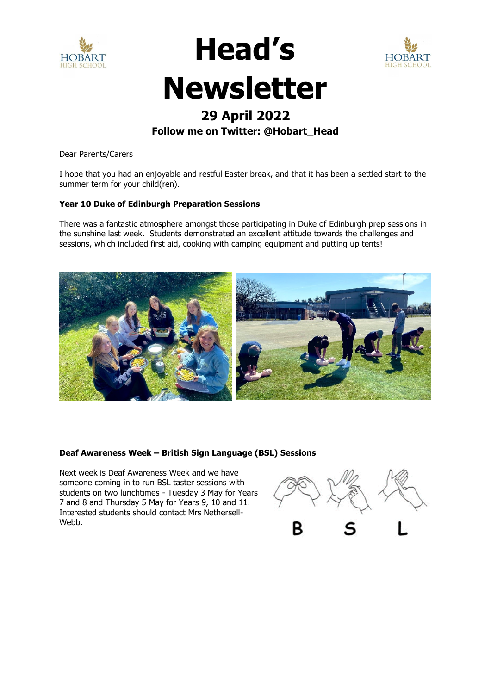



# **Newsletter**

**Head's** 

### **29 April 2022**

#### **Follow me on Twitter: @Hobart\_Head**

Dear Parents/Carers

I hope that you had an enjoyable and restful Easter break, and that it has been a settled start to the summer term for your child(ren).

#### **Year 10 Duke of Edinburgh Preparation Sessions**

There was a fantastic atmosphere amongst those participating in Duke of Edinburgh prep sessions in the sunshine last week. Students demonstrated an excellent attitude towards the challenges and sessions, which included first aid, cooking with camping equipment and putting up tents!



#### **Deaf Awareness Week – British Sign Language (BSL) Sessions**

Next week is Deaf Awareness Week and we have someone coming in to run BSL taster sessions with students on two lunchtimes - Tuesday 3 May for Years 7 and 8 and Thursday 5 May for Years 9, 10 and 11. Interested students should contact Mrs Nethersell-Webb.

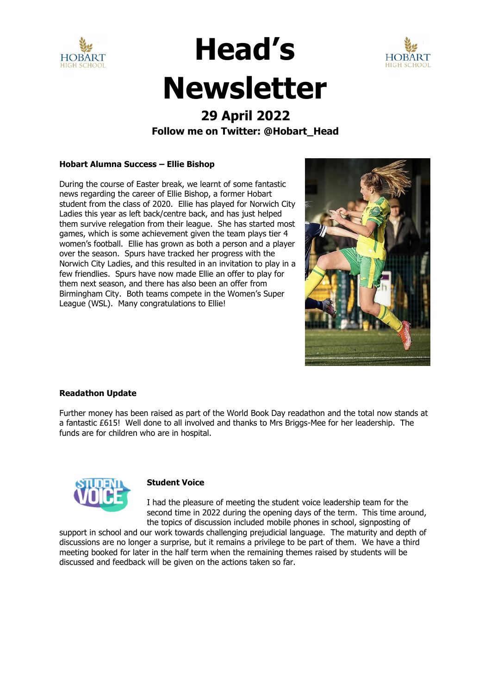



## **Head's Newsletter**

## **29 April 2022**

#### **Follow me on Twitter: @Hobart\_Head**

#### **Hobart Alumna Success – Ellie Bishop**

During the course of Easter break, we learnt of some fantastic news regarding the career of Ellie Bishop, a former Hobart student from the class of 2020. Ellie has played for Norwich City Ladies this year as left back/centre back, and has just helped them survive relegation from their league. She has started most games, which is some achievement given the team plays tier 4 women's football. Ellie has grown as both a person and a player over the season. Spurs have tracked her progress with the Norwich City Ladies, and this resulted in an invitation to play in a few friendlies. Spurs have now made Ellie an offer to play for them next season, and there has also been an offer from Birmingham City. Both teams compete in the Women's Super League (WSL). Many congratulations to Ellie!



#### **Readathon Update**

Further money has been raised as part of the World Book Day readathon and the total now stands at a fantastic £615! Well done to all involved and thanks to Mrs Briggs-Mee for her leadership. The funds are for children who are in hospital.



#### **Student Voice**

I had the pleasure of meeting the student voice leadership team for the second time in 2022 during the opening days of the term. This time around, the topics of discussion included mobile phones in school, signposting of

support in school and our work towards challenging prejudicial language. The maturity and depth of discussions are no longer a surprise, but it remains a privilege to be part of them. We have a third meeting booked for later in the half term when the remaining themes raised by students will be discussed and feedback will be given on the actions taken so far.